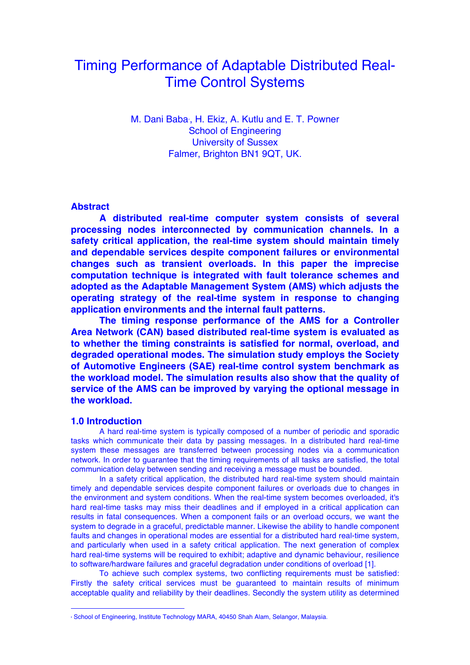# Timing Performance of Adaptable Distributed Real-Time Control Systems

M. Dani Baba∙, H. Ekiz, A. Kutlu and E. T. Powner School of Engineering University of Sussex Falmer, Brighton BN1 9QT, UK.

# **Abstract**

**A distributed real-time computer system consists of several processing nodes interconnected by communication channels. In a safety critical application, the real-time system should maintain timely and dependable services despite component failures or environmental changes such as transient overloads. In this paper the imprecise computation technique is integrated with fault tolerance schemes and adopted as the Adaptable Management System (AMS) which adjusts the operating strategy of the real-time system in response to changing application environments and the internal fault patterns.** 

**The timing response performance of the AMS for a Controller Area Network (CAN) based distributed real-time system is evaluated as to whether the timing constraints is satisfied for normal, overload, and degraded operational modes. The simulation study employs the Society of Automotive Engineers (SAE) real-time control system benchmark as the workload model. The simulation results also show that the quality of service of the AMS can be improved by varying the optional message in the workload.**

## **1.0 Introduction**

A hard real-time system is typically composed of a number of periodic and sporadic tasks which communicate their data by passing messages. In a distributed hard real-time system these messages are transferred between processing nodes via a communication network. In order to guarantee that the timing requirements of all tasks are satisfied, the total communication delay between sending and receiving a message must be bounded.

In a safety critical application, the distributed hard real-time system should maintain timely and dependable services despite component failures or overloads due to changes in the environment and system conditions. When the real-time system becomes overloaded, it's hard real-time tasks may miss their deadlines and if employed in a critical application can results in fatal consequences. When a component fails or an overload occurs, we want the system to degrade in a graceful, predictable manner. Likewise the ability to handle component faults and changes in operational modes are essential for a distributed hard real-time system, and particularly when used in a safety critical application. The next generation of complex hard real-time systems will be required to exhibit; adaptive and dynamic behaviour, resilience to software/hardware failures and graceful degradation under conditions of overload [1].

To achieve such complex systems, two conflicting requirements must be satisfied: Firstly the safety critical services must be guaranteed to maintain results of minimum acceptable quality and reliability by their deadlines. Secondly the system utility as determined

<sup>∗</sup> School of Engineering, Institute Technology MARA, 40450 Shah Alam, Selangor, Malaysia.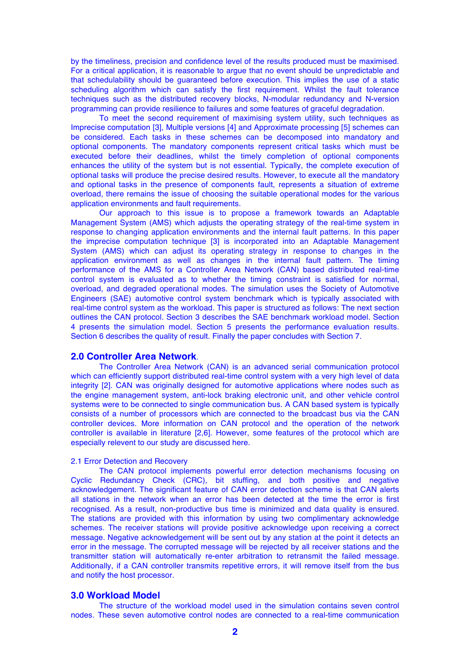by the timeliness, precision and confidence level of the results produced must be maximised. For a critical application, it is reasonable to argue that no event should be unpredictable and that schedulability should be guaranteed before execution. This implies the use of a static scheduling algorithm which can satisfy the first requirement. Whilst the fault tolerance techniques such as the distributed recovery blocks, N-modular redundancy and N-version programming can provide resilience to failures and some features of graceful degradation.

To meet the second requirement of maximising system utility, such techniques as Imprecise computation [3], Multiple versions [4] and Approximate processing [5] schemes can be considered. Each tasks in these schemes can be decomposed into mandatory and optional components. The mandatory components represent critical tasks which must be executed before their deadlines, whilst the timely completion of optional components enhances the utility of the system but is not essential. Typically, the complete execution of optional tasks will produce the precise desired results. However, to execute all the mandatory and optional tasks in the presence of components fault, represents a situation of extreme overload, there remains the issue of choosing the suitable operational modes for the various application environments and fault requirements.

Our approach to this issue is to propose a framework towards an Adaptable Management System (AMS) which adjusts the operating strategy of the real-time system in response to changing application environments and the internal fault patterns. In this paper the imprecise computation technique [3] is incorporated into an Adaptable Management System (AMS) which can adjust its operating strategy in response to changes in the application environment as well as changes in the internal fault pattern. The timing performance of the AMS for a Controller Area Network (CAN) based distributed real-time control system is evaluated as to whether the timing constraint is satisfied for normal, overload, and degraded operational modes. The simulation uses the Society of Automotive Engineers (SAE) automotive control system benchmark which is typically associated with real-time control system as the workload. This paper is structured as follows: The next section outlines the CAN protocol. Section 3 describes the SAE benchmark workload model. Section 4 presents the simulation model. Section 5 presents the performance evaluation results. Section 6 describes the quality of result. Finally the paper concludes with Section 7.

#### **2.0 Controller Area Network**.

The Controller Area Network (CAN) is an advanced serial communication protocol which can efficiently support distributed real-time control system with a very high level of data integrity [2]. CAN was originally designed for automotive applications where nodes such as the engine management system, anti-lock braking electronic unit, and other vehicle control systems were to be connected to single communication bus. A CAN based system is typically consists of a number of processors which are connected to the broadcast bus via the CAN controller devices. More information on CAN protocol and the operation of the network controller is available in literature [2,6]. However, some features of the protocol which are especially relevent to our study are discussed here.

#### 2.1 Error Detection and Recovery

The CAN protocol implements powerful error detection mechanisms focusing on Cyclic Redundancy Check (CRC), bit stuffing, and both positive and negative acknowledgement. The significant feature of CAN error detection scheme is that CAN alerts all stations in the network when an error has been detected at the time the error is first recognised. As a result, non-productive bus time is minimized and data quality is ensured. The stations are provided with this information by using two complimentary acknowledge schemes. The receiver stations will provide positive acknowledge upon receiving a correct message. Negative acknowledgement will be sent out by any station at the point it detects an error in the message. The corrupted message will be rejected by all receiver stations and the transmitter station will automatically re-enter arbitration to retransmit the failed message. Additionally, if a CAN controller transmits repetitive errors, it will remove itself from the bus and notify the host processor.

#### **3.0 Workload Model**

The structure of the workload model used in the simulation contains seven control nodes. These seven automotive control nodes are connected to a real-time communication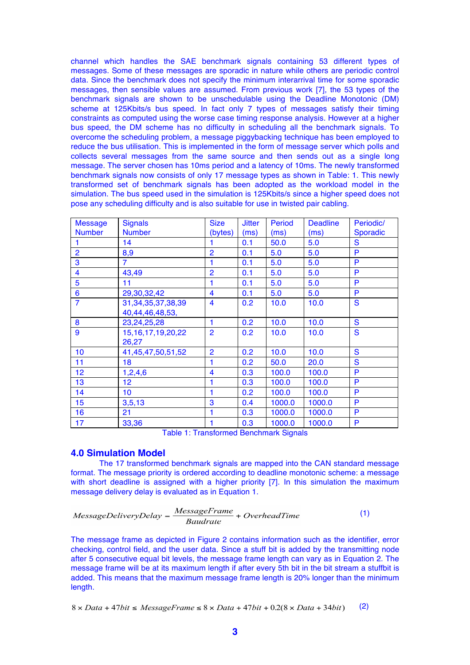channel which handles the SAE benchmark signals containing 53 different types of messages. Some of these messages are sporadic in nature while others are periodic control data. Since the benchmark does not specify the minimum interarrival time for some sporadic messages, then sensible values are assumed. From previous work [7], the 53 types of the benchmark signals are shown to be unschedulable using the Deadline Monotonic (DM) scheme at 125Kbits/s bus speed. In fact only 7 types of messages satisfy their timing constraints as computed using the worse case timing response analysis. However at a higher bus speed, the DM scheme has no difficulty in scheduling all the benchmark signals. To overcome the scheduling problem, a message piggybacking technique has been employed to reduce the bus utilisation. This is implemented in the form of message server which polls and collects several messages from the same source and then sends out as a single long message. The server chosen has 10ms period and a latency of 10ms. The newly transformed benchmark signals now consists of only 17 message types as shown in Table: 1. This newly transformed set of benchmark signals has been adopted as the workload model in the simulation. The bus speed used in the simulation is 125Kbits/s since a higher speed does not pose any scheduling difficulty and is also suitable for use in twisted pair cabling.

| <b>Message</b>  | <b>Signals</b>         | <b>Size</b>             | <b>Jitter</b> | Period | <b>Deadline</b> | Periodic/       |
|-----------------|------------------------|-------------------------|---------------|--------|-----------------|-----------------|
| <b>Number</b>   | <b>Number</b>          | (bytes)                 | (ms)          | (ms)   | (ms)            | <b>Sporadic</b> |
|                 | 14                     |                         | 0.1           | 50.0   | 5.0             | S               |
| $\overline{2}$  | 8,9                    | $\overline{2}$          | 0.1           | 5.0    | 5.0             | P               |
| 3               | $\overline{7}$         | 1                       | 0.1           | 5.0    | 5.0             | P               |
| 4               | 43,49                  | $\overline{2}$          | 0.1           | 5.0    | 5.0             | P               |
| 5               | 11                     | 1                       | 0.1           | 5.0    | 5.0             | P               |
| $6\phantom{1}6$ | 29,30,32,42            | 4                       | 0.1           | 5.0    | 5.0             | P               |
| $\overline{7}$  | 31, 34, 35, 37, 38, 39 | $\overline{\mathbf{4}}$ | 0.2           | 10.0   | 10.0            | S               |
|                 | 40,44,46,48,53,        |                         |               |        |                 |                 |
| 8               | 23,24,25,28            | 1                       | 0.2           | 10.0   | 10.0            | S               |
| 9               | 15, 16, 17, 19, 20, 22 | $\overline{2}$          | 0.2           | 10.0   | 10.0            | S               |
|                 | 26,27                  |                         |               |        |                 |                 |
| 10              | 41,45,47,50,51,52      | $\overline{2}$          | 0.2           | 10.0   | 10.0            | S               |
| 11              | 18                     | 1                       | 0.2           | 50.0   | 20.0            | S               |
| 12              | 1,2,4,6                | $\overline{\mathbf{4}}$ | 0.3           | 100.0  | 100.0           | P               |
| 13              | 12 <sub>2</sub>        | 1                       | 0.3           | 100.0  | 100.0           | P               |
| 14              | 10                     | 1                       | 0.2           | 100.0  | 100.0           | P               |
| 15              | 3, 5, 13               | 3                       | 0.4           | 1000.0 | 1000.0          | P               |
| 16              | 21                     | 1                       | 0.3           | 1000.0 | 1000.0          | P               |
| 17              | 33,36<br>_______       | 1<br>$\sim$             | 0.3<br>$\sim$ | 1000.0 | 1000.0          | P               |

Table 1: Transformed Benchmark Signals

# **4.0 Simulation Model**

The 17 transformed benchmark signals are mapped into the CAN standard message format. The message priority is ordered according to deadline monotonic scheme: a message with short deadline is assigned with a higher priority [7]. In this simulation the maximum message delivery delay is evaluated as in Equation 1.

$$
MessageDeliveryDelay = \frac{MessageFrame}{Baudrate} + OverheadTime
$$
 (1)

The message frame as depicted in Figure 2 contains information such as the identifier, error checking, control field, and the user data. Since a stuff bit is added by the transmitting node after 5 consecutive equal bit levels, the message frame length can vary as in Equation 2. The message frame will be at its maximum length if after every 5th bit in the bit stream a stuffbit is added. This means that the maximum message frame length is 20% longer than the minimum length.

$$
8 \times Data + 47bit \le MessageFrame \le 8 \times Data + 47bit + 0.2(8 \times Data + 34bit)
$$
 (2)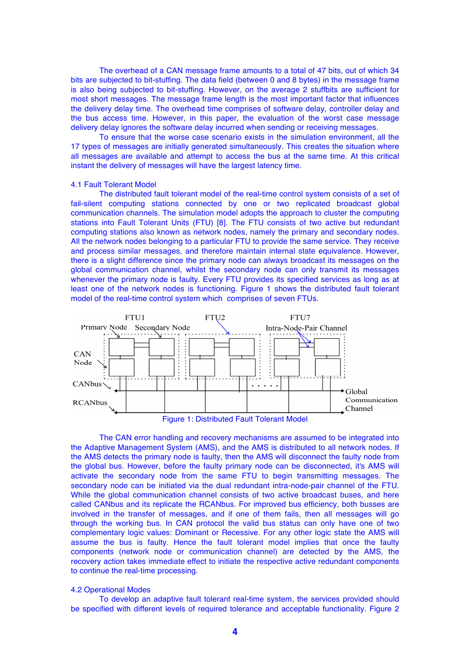The overhead of a CAN message frame amounts to a total of 47 bits, out of which 34 bits are subjected to bit-stuffing. The data field (between 0 and 8 bytes) in the message frame is also being subjected to bit-stuffing. However, on the average 2 stuffbits are sufficient for most short messages. The message frame length is the most important factor that influences the delivery delay time. The overhead time comprises of software delay, controller delay and the bus access time. However, in this paper, the evaluation of the worst case message delivery delay ignores the software delay incurred when sending or receiving messages.

To ensure that the worse case scenario exists in the simulation environment, all the 17 types of messages are initially generated simultaneously. This creates the situation where all messages are available and attempt to access the bus at the same time. At this critical instant the delivery of messages will have the largest latency time.

#### 4.1 Fault Tolerant Model

The distributed fault tolerant model of the real-time control system consists of a set of fail-silent computing stations connected by one or two replicated broadcast global communication channels. The simulation model adopts the approach to cluster the computing stations into Fault Tolerant Units (FTU) [8]. The FTU consists of two active but redundant computing stations also known as network nodes, namely the primary and secondary nodes. All the network nodes belonging to a particular FTU to provide the same service. They receive and process similar messages, and therefore maintain internal state equivalence. However, there is a slight difference since the primary node can always broadcast its messages on the global communication channel, whilst the secondary node can only transmit its messages whenever the primary node is faulty. Every FTU provides its specified services as long as at least one of the network nodes is functioning. Figure 1 shows the distributed fault tolerant model of the real-time control system which comprises of seven FTUs.



The CAN error handling and recovery mechanisms are assumed to be integrated into the Adaptive Management System (AMS), and the AMS is distributed to all network nodes. If the AMS detects the primary node is faulty, then the AMS will disconnect the faulty node from the global bus. However, before the faulty primary node can be disconnected, it's AMS will activate the secondary node from the same FTU to begin transmitting messages. The secondary node can be initiated via the dual redundant intra-node-pair channel of the FTU. While the global communication channel consists of two active broadcast buses, and here called CANbus and its replicate the RCANbus. For improved bus efficiency, both busses are involved in the transfer of messages, and if one of them fails, then all messages will go through the working bus. In CAN protocol the valid bus status can only have one of two complementary logic values: Dominant or Recessive. For any other logic state the AMS will assume the bus is faulty. Hence the fault tolerant model implies that once the faulty components (network node or communication channel) are detected by the AMS, the recovery action takes immediate effect to initiate the respective active redundant components to continue the real-time processing.

#### 4.2 Operational Modes

To develop an adaptive fault tolerant real-time system, the services provided should be specified with different levels of required tolerance and acceptable functionality. Figure 2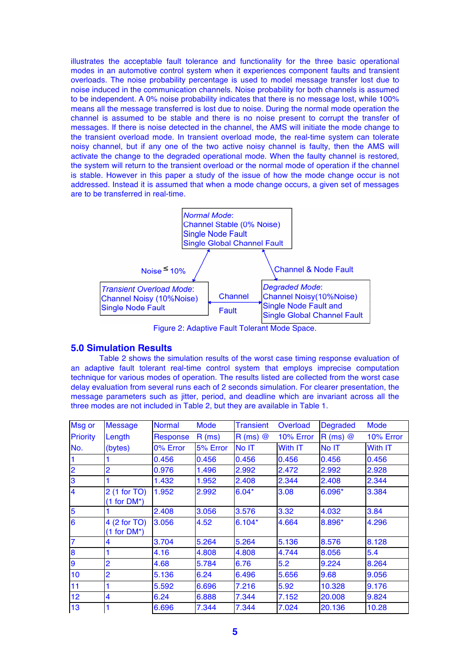illustrates the acceptable fault tolerance and functionality for the three basic operational modes in an automotive control system when it experiences component faults and transient overloads. The noise probability percentage is used to model message transfer lost due to noise induced in the communication channels. Noise probability for both channels is assumed to be independent. A 0% noise probability indicates that there is no message lost, while 100% means all the message transferred is lost due to noise. During the normal mode operation the channel is assumed to be stable and there is no noise present to corrupt the transfer of messages. If there is noise detected in the channel, the AMS will initiate the mode change to the transient overload mode. In transient overload mode, the real-time system can tolerate noisy channel, but if any one of the two active noisy channel is faulty, then the AMS will activate the change to the degraded operational mode. When the faulty channel is restored, the system will return to the transient overload or the normal mode of operation if the channel is stable. However in this paper a study of the issue of how the mode change occur is not addressed. Instead it is assumed that when a mode change occurs, a given set of messages are to be transferred in real-time.



# **5.0 Simulation Results**

Table 2 shows the simulation results of the worst case timing response evaluation of an adaptive fault tolerant real-time control system that employs imprecise computation technique for various modes of operation. The results listed are collected from the worst case delay evaluation from several runs each of 2 seconds simulation. For clearer presentation, the message parameters such as jitter, period, and deadline which are invariant across all the three modes are not included in Table 2, but they are available in Table 1.

| Msg or                  | <b>Message</b>                | <b>Normal</b> | <b>Mode</b> | <b>Transient</b> | Overload  | <b>Degraded</b> | <b>Mode</b> |
|-------------------------|-------------------------------|---------------|-------------|------------------|-----------|-----------------|-------------|
| <b>Priority</b>         | Length                        | Response      | R(ms)       | $R(ms)$ $@$      | 10% Error | $R(ms)$ @       | 10% Error   |
| No.                     | (bytes)                       | 0% Error      | 5% Error    | No IT            | With IT   | No IT           | With IT     |
| $\blacksquare$          |                               | 0.456         | 0.456       | 0.456            | 0.456     | 0.456           | 0.456       |
| $\overline{2}$          | $\overline{2}$                | 0.976         | 1.496       | 2.992            | 2.472     | 2.992           | 2.928       |
| 3                       |                               | 1.432         | 1.952       | 2.408            | 2.344     | 2.408           | 2.344       |
| $\overline{\mathbf{4}}$ | 2 (1 for TO)<br>$(1 for DM*)$ | 1.952         | 2.992       | $6.04*$          | 3.08      | 6.096*          | 3.384       |
| 5                       |                               | 2.408         | 3.056       | 3.576            | 3.32      | 4.032           | 3.84        |
| $6\phantom{1}6$         | 4 (2 for TO)<br>$(1 for DM*)$ | 3.056         | 4.52        | $6.104*$         | 4.664     | 8.896*          | 4.296       |
| $\overline{7}$          | 4                             | 3.704         | 5.264       | 5.264            | 5.136     | 8.576           | 8.128       |
| 8                       |                               | 4.16          | 4.808       | 4.808            | 4.744     | 8.056           | 5.4         |
| 9                       | $\overline{2}$                | 4.68          | 5.784       | 6.76             | 5.2       | 9.224           | 8.264       |
| 10                      | $\overline{2}$                | 5.136         | 6.24        | 6.496            | 5.656     | 9.68            | 9.056       |
| 11                      | 1                             | 5.592         | 6.696       | 7.216            | 5.92      | 10.328          | 9.176       |
| 12                      | $\overline{\mathbf{4}}$       | 6.24          | 6.888       | 7.344            | 7.152     | 20.008          | 9.824       |
| 13                      |                               | 6.696         | 7.344       | 7.344            | 7.024     | 20.136          | 10.28       |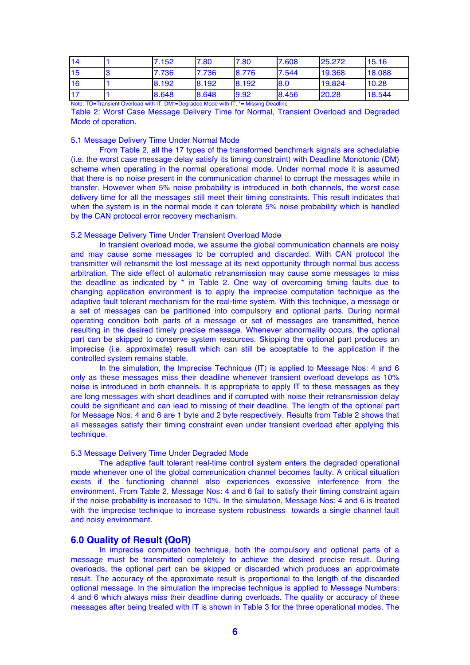| $\overline{14}$ | 7.152 | 7.80  | 7.80  | 7.608 | 25.272 | 15.16  |
|-----------------|-------|-------|-------|-------|--------|--------|
| 15              | 7.736 | 7.736 | 8.776 | 7.544 | 19.368 | 18.088 |
| 16              | 8.192 | 8.192 | 8.192 | 8.0   | 19.824 | 10.28  |
| $\overline{17}$ | 8.648 | 8.648 | 9.92  | 8.456 | 20.28  | 18.544 |

Note: TO=Transient Overload with IT, DM\*=Degraded Mode with IT, \*= Missing Deadline

Table 2: Worst Case Message Delivery Time for Normal, Transient Overload and Degraded Mode of operation.

#### 5.1 Message Delivery Time Under Normal Mode

From Table 2, all the 17 types of the transformed benchmark signals are schedulable (i.e. the worst case message delay satisfy its timing constraint) with Deadline Monotonic (DM) scheme when operating in the normal operational mode. Under normal mode it is assumed that there is no noise present in the communication channel to corrupt the messages while in transfer. However when 5% noise probability is introduced in both channels, the worst case delivery time for all the messages still meet their timing constraints. This result indicates that when the system is in the normal mode it can tolerate 5% noise probability which is handled by the CAN protocol error recovery mechanism.

#### 5.2 Message Delivery Time Under Transient Overload Mode

In transient overload mode, we assume the global communication channels are noisy and may cause some messages to be corrupted and discarded. With CAN protocol the transmitter will retransmit the lost message at its next opportunity through normal bus access arbitration. The side effect of automatic retransmission may cause some messages to miss the deadline as indicated by \* in Table 2. One way of overcoming timing faults due to changing application environment is to apply the imprecise computation technique as the adaptive fault tolerant mechanism for the real-time system. With this technique, a message or a set of messages can be partitioned into compulsory and optional parts. During normal operating condition both parts of a message or set of messages are transmitted, hence resulting in the desired timely precise message. Whenever abnormality occurs, the optional part can be skipped to conserve system resources. Skipping the optional part produces an imprecise (i.e. approximate) result which can still be acceptable to the application if the controlled system remains stable.

In the simulation, the Imprecise Technique (IT) is applied to Message Nos: 4 and 6 only as these messages miss their deadline whenever transient overload develops as 10% noise is introduced in both channels. It is appropriate to apply IT to these messages as they are long messages with short deadlines and if corrupted with noise their retransmission delay could be significant and can lead to missing of their deadline. The length of the optional part for Message Nos: 4 and 6 are 1 byte and 2 byte respectively. Results from Table 2 shows that all messages satisfy their timing constraint even under transient overload after applying this technique.

## 5.3 Message Delivery Time Under Degraded Mode

The adaptive fault tolerant real-time control system enters the degraded operational mode whenever one of the global communication channel becomes faulty. A critical situation exists if the functioning channel also experiences excessive interference from the environment. From Table 2, Message Nos: 4 and 6 fail to satisfy their timing constraint again if the noise probability is increased to 10%. In the simulation, Message Nos: 4 and 6 is treated with the imprecise technique to increase system robustness towards a single channel fault and noisy environment.

#### **6.0 Quality of Result (QoR)**

In imprecise computation technique, both the compulsory and optional parts of a message must be transmitted completely to achieve the desired precise result. During overloads, the optional part can be skipped or discarded which produces an approximate result. The accuracy of the approximate result is proportional to the length of the discarded optional message. In the simulation the imprecise technique is applied to Message Numbers: 4 and 6 which always miss their deadline during overloads. The quality or accuracy of these messages after being treated with IT is shown in Table 3 for the three operational modes. The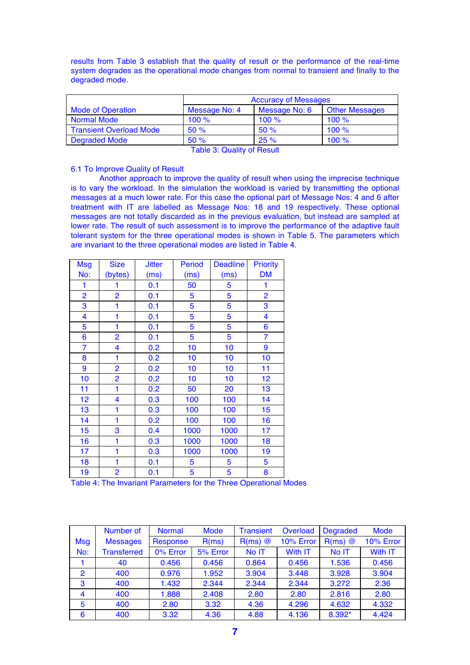results from Table 3 establish that the quality of result or the performance of the real-time system degrades as the operational mode changes from normal to transient and finally to the degraded mode.

|                                | <b>Accuracy of Messages</b> |               |                       |  |  |  |
|--------------------------------|-----------------------------|---------------|-----------------------|--|--|--|
| <b>Mode of Operation</b>       | Message No: 4               | Message No: 6 | <b>Other Messages</b> |  |  |  |
| <b>Normal Mode</b>             | 100%                        | 100%          | 100%                  |  |  |  |
| <b>Transient Overload Mode</b> | 50%                         | 50%           | 100%                  |  |  |  |
| <b>Degraded Mode</b>           | 50%                         | 25%           | 100%                  |  |  |  |

Table 3: Quality of Result

## 6.1 To Improve Quality of Result

Another approach to improve the quality of result when using the imprecise technique is to vary the workload. In the simulation the workload is varied by transmitting the optional messages at a much lower rate. For this case the optional part of Message Nos: 4 and 6 after treatment with IT are labelled as Message Nos: 18 and 19 respectively. These optional messages are not totally discarded as in the previous evaluation, but instead are sampled at lower rate. The result of such assessment is to improve the performance of the adaptive fault tolerant system for the three operational modes is shown in Table 5. The parameters which are invariant to the three operational modes are listed in Table 4.

| <b>Msg</b>     | <b>Size</b>             | <b>Jitter</b> | <b>Period</b> | <b>Deadline</b> | <b>Priority</b> |
|----------------|-------------------------|---------------|---------------|-----------------|-----------------|
| No:            | (bytes)                 | (ms)          | (ms)          | (ms)            | <b>DM</b>       |
| 1              | 1                       | 0.1           | 50            | 5               | 1               |
| $\overline{2}$ | $\overline{2}$          | 0.1           | 5             | 5               | 2               |
| 3              | 1                       | 0.1           | 5             | 5               | 3               |
| 4              | 1                       | 0.1           | 5             | 5               | 4               |
| 5              | 1                       | 0.1           | 5             | 5               | 6               |
| 6              | $\overline{2}$          | 0.1           | 5             | 5               | $\overline{7}$  |
| $\overline{7}$ | $\overline{\mathbf{4}}$ | 0.2           | 10            | 10              | 9               |
| 8              | 1                       | 0.2           | 10            | 10              | 10              |
| 9              | $\overline{2}$          | 0.2           | 10            | 10              | 11              |
| 10             | $\overline{2}$          | 0.2           | 10            | 10              | 12              |
| 11             | 1                       | 0.2           | 50            | 20              | 13              |
| 12             | 4                       | 0.3           | 100           | 100             | 14              |
| 13             | 1                       | 0.3           | 100           | 100             | 15              |
| 14             | 1                       | 0.2           | 100           | 100             | 16              |
| 15             | 3                       | 0.4           | 1000          | 1000            | 17              |
| 16             | 1                       | 0.3           | 1000          | 1000            | 18              |
| 17             | 1                       | 0.3           | 1000          | 1000            | 19              |
| 18             | 1                       | 0.1           | 5             | 5               | 5               |
| 19             | $\overline{2}$          | 0.1           | 5             | 5               | 8               |

Table 4: The Invariant Parameters for the Three Operational Modes

|                | Number of          | <b>Normal</b> | <b>Mode</b> | <b>Transient</b> | Overload  | <b>Degraded</b> | <b>Mode</b> |
|----------------|--------------------|---------------|-------------|------------------|-----------|-----------------|-------------|
| <b>Msg</b>     | <b>Messages</b>    | Response      | R(ms)       | $R(ms)$ $@$      | 10% Error | $R(ms)$ $@$     | 10% Error   |
| No:            | <b>Transferred</b> | 0% Error      | 5% Error    | No IT            | With IT   | No IT           | With IT     |
|                | 40                 | 0.456         | 0.456       | 0.864            | 0.456     | 1.536           | 0.456       |
| 2              | 400                | 0.976         | 1.952       | 3.904            | 3.448     | 3.928           | 3.904       |
| 3              | 400                | 1.432         | 2.344       | 2.344            | 2.344     | 3.272           | 2.36        |
| $\overline{4}$ | 400                | 1.888         | 2.408       | 2.80             | 2.80      | 2.816           | 2.80        |
| 5              | 400                | 2.80          | 3.32        | 4.36             | 4.296     | 4.632           | 4.332       |
| 6              | 400                | 3.32          | 4.36        | 4.88             | 4.136     | 8.392*          | 4.424       |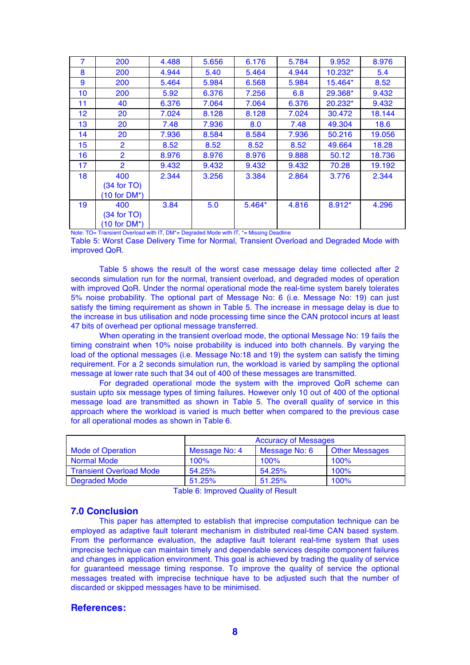| $\overline{7}$ | 200            | 4.488 | 5.656 | 6.176    | 5.784 | 9.952     | 8.976  |
|----------------|----------------|-------|-------|----------|-------|-----------|--------|
| 8              | 200            | 4.944 | 5.40  | 5.464    | 4.944 | $10.232*$ | 5.4    |
| 9              | 200            | 5.464 | 5.984 | 6.568    | 5.984 | 15.464*   | 8.52   |
| 10             | 200            | 5.92  | 6.376 | 7.256    | 6.8   | 29.368*   | 9.432  |
| 11             | 40             | 6.376 | 7.064 | 7.064    | 6.376 | 20.232*   | 9.432  |
| 12             | 20             | 7.024 | 8.128 | 8.128    | 7.024 | 30.472    | 18.144 |
| 13             | 20             | 7.48  | 7.936 | 8.0      | 7.48  | 49.304    | 18.6   |
| 14             | 20             | 7.936 | 8.584 | 8.584    | 7.936 | 50.216    | 19.056 |
| 15             | $\overline{2}$ | 8.52  | 8.52  | 8.52     | 8.52  | 49.664    | 18.28  |
| 16             | $\overline{2}$ | 8.976 | 8.976 | 8.976    | 9.888 | 50.12     | 18.736 |
| 17             | $\overline{2}$ | 9.432 | 9.432 | 9.432    | 9.432 | 70.28     | 19.192 |
| 18             | 400            | 2.344 | 3.256 | 3.384    | 2.864 | 3.776     | 2.344  |
|                | $(34$ for TO)  |       |       |          |       |           |        |
|                | $(10 for DM*)$ |       |       |          |       |           |        |
| 19             | 400            | 3.84  | 5.0   | $5.464*$ | 4.816 | $8.912*$  | 4.296  |
|                | $(34$ for TO)  |       |       |          |       |           |        |
|                | $(10 for DM*)$ |       |       |          |       |           |        |

Note: TO= Transient Overload with IT, DM<sup>\*</sup>= Degraded Mode with IT, <sup>\*</sup>= Missing Deadline

Table 5: Worst Case Delivery Time for Normal, Transient Overload and Degraded Mode with improved QoR.

Table 5 shows the result of the worst case message delay time collected after 2 seconds simulation run for the normal, transient overload, and degraded modes of operation with improved QoR. Under the normal operational mode the real-time system barely tolerates 5% noise probability. The optional part of Message No: 6 (i.e. Message No: 19) can just satisfy the timing requirement as shown in Table 5. The increase in message delay is due to the increase in bus utilisation and node processing time since the CAN protocol incurs at least 47 bits of overhead per optional message transferred.

When operating in the transient overload mode, the optional Message No: 19 fails the timing constraint when 10% noise probability is induced into both channels. By varying the load of the optional messages (i.e. Message No:18 and 19) the system can satisfy the timing requirement. For a 2 seconds simulation run, the workload is varied by sampling the optional message at lower rate such that 34 out of 400 of these messages are transmitted.

For degraded operational mode the system with the improved QoR scheme can sustain upto six message types of timing failures. However only 10 out of 400 of the optional message load are transmitted as shown in Table 5. The overall quality of service in this approach where the workload is varied is much better when compared to the previous case for all operational modes as shown in Table 6.

|                                | <b>Accuracy of Messages</b> |               |                       |  |  |
|--------------------------------|-----------------------------|---------------|-----------------------|--|--|
| <b>Mode of Operation</b>       | Message No: 4               | Message No: 6 | <b>Other Messages</b> |  |  |
| <b>Normal Mode</b>             | 100%                        | 100%          | 100%                  |  |  |
| <b>Transient Overload Mode</b> | 54.25%                      | 54.25%        | 100%                  |  |  |
| <b>Degraded Mode</b>           | 51.25%                      | 51.25%        | 100%                  |  |  |

Table 6: Improved Quality of Result

# **7.0 Conclusion**

This paper has attempted to establish that imprecise computation technique can be employed as adaptive fault tolerant mechanism in distributed real-time CAN based system. From the performance evaluation, the adaptive fault tolerant real-time system that uses imprecise technique can maintain timely and dependable services despite component failures and changes in application environment. This goal is achieved by trading the quality of service for guaranteed message timing response. To improve the quality of service the optional messages treated with imprecise technique have to be adjusted such that the number of discarded or skipped messages have to be minimised.

# **References:**